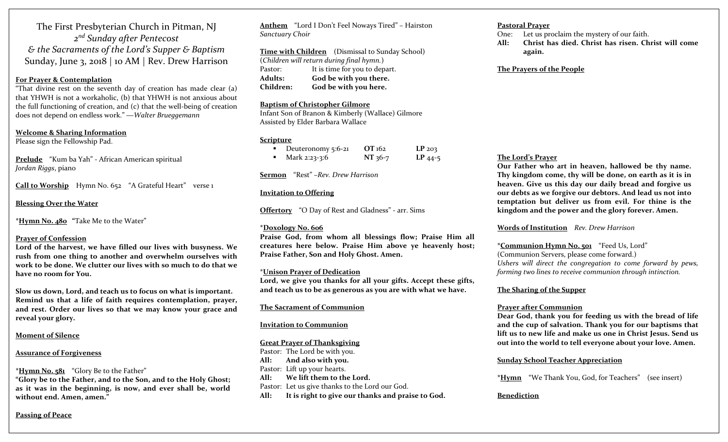The First Presbyterian Church in Pitman, NJ *<sup>2</sup>nd Sunday after Pentecost & the Sacraments of the Lord's Supper & Baptism* Sunday, June 3, <sup>2018</sup> | <sup>10</sup> AM | Rev. Drew Harrison

#### **For Prayer & Contemplation**

"That divine rest on the seventh day of creation has made clear (a) that YHWH is not <sup>a</sup> workaholic, (b) that YHWH is not anxious about the full functioning of creation, and (c) that the well‐being of creation does not depend on endless work." ―*Walter Brueggemann*

**Welcome & Sharing Information** Please sign the Fellowship Pad.

**Prelude** "Kum ba Yah" ‐ African American spiritual *Jordan Riggs*, piano

**Call to Worship** Hymn No. 652 "A Grateful Heart" verse <sup>1</sup>

**Blessing Over the Water**

**\*Hymn No. 480 "**Take Me to the Water"

# **Prayer of Confession**

**Lord of the harvest, we have filled our lives with busyness. We rush from one thing to another and overwhelm ourselves with work to be done. We clutter our lives with so much to do that we have no room for You.**

**Slow us down, Lord, and teach us to focus on what is important. Remind us that a life of faith requires contemplation, prayer, and rest. Order our lives so that we may know your grace and reveal your glory.**

#### **Moment of Silence**

#### **Assurance of Forgiveness**

**\*Hymn No. <sup>5</sup><sup>81</sup>** "Glory Be to the Father"

**"Glory be to the Father, and to the Son, and to the Holy Ghost; as it was in the beginning, is now, and ever shall be, world without end. Amen, amen."**

**Passing of Peace**

**Anthem** "Lord <sup>I</sup> Don't Feel Noways Tired" – Hairston *Sanctuary Choir*

**Time with Children** (Dismissal to Sunday School) (*Children will return during final hymn.*) Pastor: It is time for you to depart. **Adults: God be with you there. Children:God be with you here.**

#### **Baptism of Christopher Gilmore**

Infant Son of Branon & Kimberly (Wallace) Gilmore Assisted by Elder Barbara Wallace

#### **Scripture**

| Deuteronomy 5:6-21 | OT 162    | $LP_{203}$ |
|--------------------|-----------|------------|
| Mark 2:23-3:6      | $NT 36-7$ | $LP$ 44-5  |

**Sermon** "Rest" –*Rev. Drew Harrison*

#### **Invitation to Offering**

**Offertory** "O Day of Rest and Gladness" ‐ arr. Sims

# **\*Doxology No. 606**

**Praise God, from whom all blessings flow; Praise Him all creatures here below. Praise Him above ye heavenly host; Praise Father, Son and Holy Ghost. Amen.**

#### \***Unison Prayer of Dedication**

**Lord, we give you thanks for all your gifts. Accept these gifts, and teach us to be as generous as you are with what we have.**

**The Sacrament of Communion**

#### **Invitation to Communion**

# **Great Prayer of Thanksgiving**

Pastor: The Lord be with you. **All: And also with you.** Pastor: Lift up your hearts. **All: We lift them to the Lord.** Pastor: Let us give thanks to the Lord our God. **All:It is right to give our thanks and praise to God.**

# **Pastoral Prayer**

One:Let us proclaim the mystery of our faith.

**All: Christ has died. Christ has risen. Christ will comeagain.**

#### **The Prayers of the People**

# **The Lord's Prayer**

**Our Father who art in heaven, hallowed be thy name. Thy kingdom come, thy will be done, on earth as it is in heaven. Give us this day our daily bread and forgive us our debts as we forgive our debtors. And lead us not into temptation but deliver us from evil. For thine is the kingdom and the power and the glory forever. Amen.**

# **Words of Institution** *Rev. Drew Harrison*

**\*Communion Hymn No. 501** "Feed Us, Lord"

(Communion Servers, <sup>p</sup>lease come forward.) *Ushers will direct the congregation to come forward by pews, forming two lines to receive communion through intinction.*

#### **The Sharing of the Supper**

# **Prayer after Communion**

**Dear God, thank you for feeding us with the bread of life and the cup of salvation. Thank you for our baptisms that lift us to new life and make us one in Christ Jesus. Send us out into the world to tell everyone about your love. Amen.**

# **Sunday School Teacher Appreciation**

**\*Hymn** "We Thank You, God, for Teachers" (see insert)

# **Benediction**